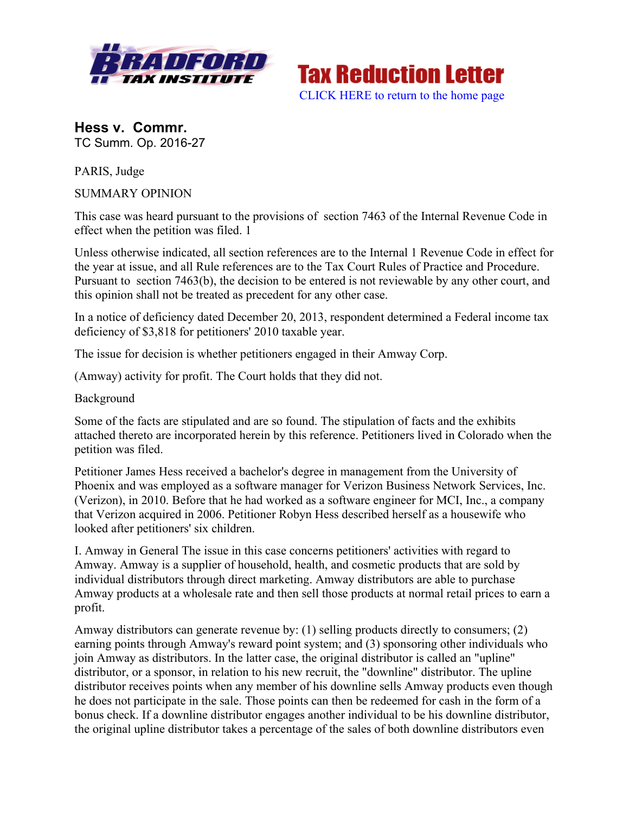



**Hess v. Commr.** TC Summ. Op. 2016-27

PARIS, Judge

SUMMARY OPINION

This case was heard pursuant to the provisions of section 7463 of the Internal Revenue Code in effect when the petition was filed. 1

Unless otherwise indicated, all section references are to the Internal 1 Revenue Code in effect for the year at issue, and all Rule references are to the Tax Court Rules of Practice and Procedure. Pursuant to section 7463(b), the decision to be entered is not reviewable by any other court, and this opinion shall not be treated as precedent for any other case.

In a notice of deficiency dated December 20, 2013, respondent determined a Federal income tax deficiency of \$3,818 for petitioners' 2010 taxable year.

The issue for decision is whether petitioners engaged in their Amway Corp.

(Amway) activity for profit. The Court holds that they did not.

Background

Some of the facts are stipulated and are so found. The stipulation of facts and the exhibits attached thereto are incorporated herein by this reference. Petitioners lived in Colorado when the petition was filed.

Petitioner James Hess received a bachelor's degree in management from the University of Phoenix and was employed as a software manager for Verizon Business Network Services, Inc. (Verizon), in 2010. Before that he had worked as a software engineer for MCI, Inc., a company that Verizon acquired in 2006. Petitioner Robyn Hess described herself as a housewife who looked after petitioners' six children.

I. Amway in General The issue in this case concerns petitioners' activities with regard to Amway. Amway is a supplier of household, health, and cosmetic products that are sold by individual distributors through direct marketing. Amway distributors are able to purchase Amway products at a wholesale rate and then sell those products at normal retail prices to earn a profit.

Amway distributors can generate revenue by: (1) selling products directly to consumers; (2) earning points through Amway's reward point system; and (3) sponsoring other individuals who join Amway as distributors. In the latter case, the original distributor is called an "upline" distributor, or a sponsor, in relation to his new recruit, the "downline" distributor. The upline distributor receives points when any member of his downline sells Amway products even though he does not participate in the sale. Those points can then be redeemed for cash in the form of a bonus check. If a downline distributor engages another individual to be his downline distributor, the original upline distributor takes a percentage of the sales of both downline distributors even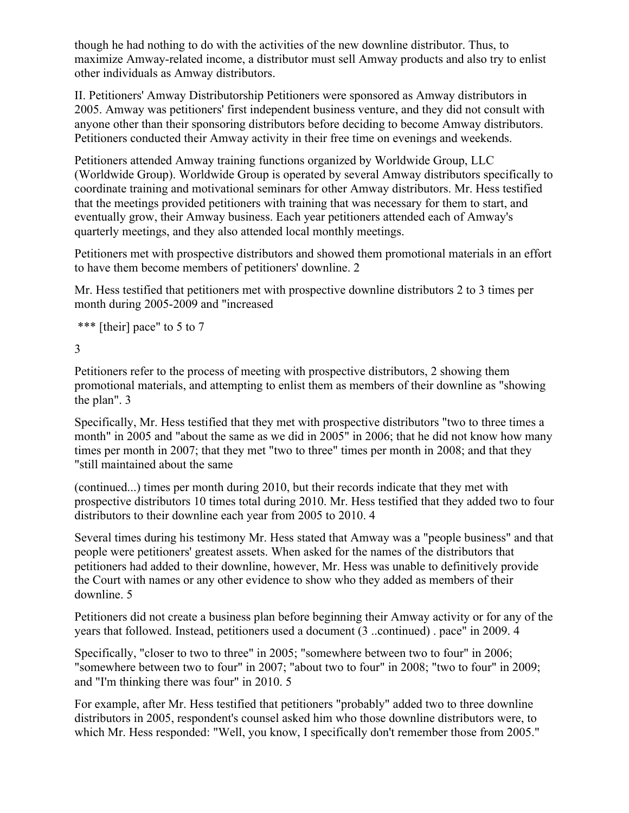though he had nothing to do with the activities of the new downline distributor. Thus, to maximize Amway-related income, a distributor must sell Amway products and also try to enlist other individuals as Amway distributors.

II. Petitioners' Amway Distributorship Petitioners were sponsored as Amway distributors in 2005. Amway was petitioners' first independent business venture, and they did not consult with anyone other than their sponsoring distributors before deciding to become Amway distributors. Petitioners conducted their Amway activity in their free time on evenings and weekends.

Petitioners attended Amway training functions organized by Worldwide Group, LLC (Worldwide Group). Worldwide Group is operated by several Amway distributors specifically to coordinate training and motivational seminars for other Amway distributors. Mr. Hess testified that the meetings provided petitioners with training that was necessary for them to start, and eventually grow, their Amway business. Each year petitioners attended each of Amway's quarterly meetings, and they also attended local monthly meetings.

Petitioners met with prospective distributors and showed them promotional materials in an effort to have them become members of petitioners' downline. 2

Mr. Hess testified that petitioners met with prospective downline distributors 2 to 3 times per month during 2005-2009 and "increased

```
*** [their] pace" to 5 to 7
```
3

Petitioners refer to the process of meeting with prospective distributors, 2 showing them promotional materials, and attempting to enlist them as members of their downline as "showing the plan". 3

Specifically, Mr. Hess testified that they met with prospective distributors "two to three times a month" in 2005 and "about the same as we did in 2005" in 2006; that he did not know how many times per month in 2007; that they met "two to three" times per month in 2008; and that they "still maintained about the same

(continued...) times per month during 2010, but their records indicate that they met with prospective distributors 10 times total during 2010. Mr. Hess testified that they added two to four distributors to their downline each year from 2005 to 2010. 4

Several times during his testimony Mr. Hess stated that Amway was a "people business" and that people were petitioners' greatest assets. When asked for the names of the distributors that petitioners had added to their downline, however, Mr. Hess was unable to definitively provide the Court with names or any other evidence to show who they added as members of their downline. 5

Petitioners did not create a business plan before beginning their Amway activity or for any of the years that followed. Instead, petitioners used a document (3 ..continued) . pace" in 2009. 4

Specifically, "closer to two to three" in 2005; "somewhere between two to four" in 2006; "somewhere between two to four" in 2007; "about two to four" in 2008; "two to four" in 2009; and "I'm thinking there was four" in 2010. 5

For example, after Mr. Hess testified that petitioners "probably" added two to three downline distributors in 2005, respondent's counsel asked him who those downline distributors were, to which Mr. Hess responded: "Well, you know, I specifically don't remember those from 2005."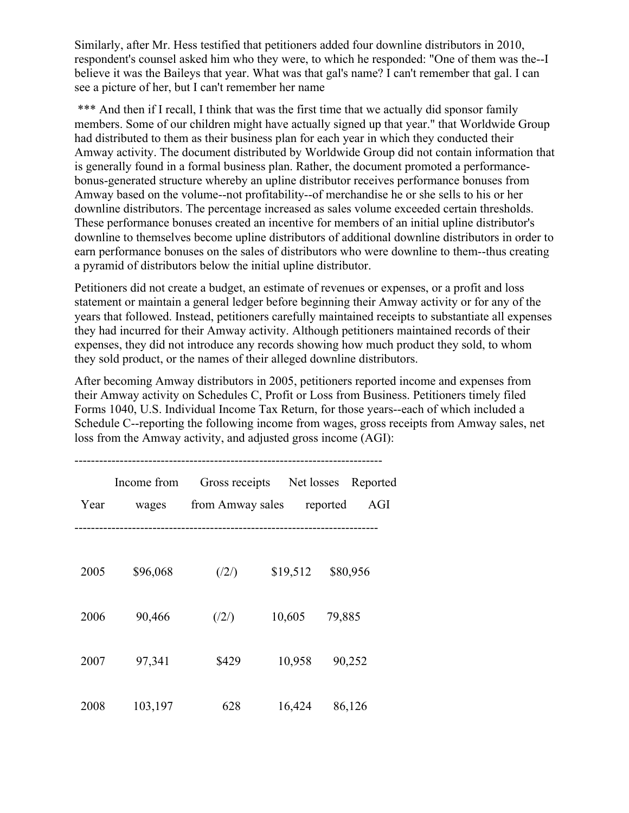Similarly, after Mr. Hess testified that petitioners added four downline distributors in 2010, respondent's counsel asked him who they were, to which he responded: "One of them was the--I believe it was the Baileys that year. What was that gal's name? I can't remember that gal. I can see a picture of her, but I can't remember her name

\*\*\* And then if I recall, I think that was the first time that we actually did sponsor family members. Some of our children might have actually signed up that year." that Worldwide Group had distributed to them as their business plan for each year in which they conducted their Amway activity. The document distributed by Worldwide Group did not contain information that is generally found in a formal business plan. Rather, the document promoted a performancebonus-generated structure whereby an upline distributor receives performance bonuses from Amway based on the volume--not profitability--of merchandise he or she sells to his or her downline distributors. The percentage increased as sales volume exceeded certain thresholds. These performance bonuses created an incentive for members of an initial upline distributor's downline to themselves become upline distributors of additional downline distributors in order to earn performance bonuses on the sales of distributors who were downline to them--thus creating a pyramid of distributors below the initial upline distributor.

Petitioners did not create a budget, an estimate of revenues or expenses, or a profit and loss statement or maintain a general ledger before beginning their Amway activity or for any of the years that followed. Instead, petitioners carefully maintained receipts to substantiate all expenses they had incurred for their Amway activity. Although petitioners maintained records of their expenses, they did not introduce any records showing how much product they sold, to whom they sold product, or the names of their alleged downline distributors.

After becoming Amway distributors in 2005, petitioners reported income and expenses from their Amway activity on Schedules C, Profit or Loss from Business. Petitioners timely filed Forms 1040, U.S. Individual Income Tax Return, for those years--each of which included a Schedule C--reporting the following income from wages, gross receipts from Amway sales, net loss from the Amway activity, and adjusted gross income (AGI):

| Year | Income from<br>wages | Gross receipts Net losses<br>from Amway sales |          | Reported<br>reported<br>AGI |
|------|----------------------|-----------------------------------------------|----------|-----------------------------|
| 2005 | \$96,068             | (2/)                                          | \$19,512 | \$80,956                    |
| 2006 | 90,466               | (2/)                                          | 10,605   | 79,885                      |
| 2007 | 97,341               | \$429                                         | 10,958   | 90,252                      |
| 2008 | 103,197              | 628                                           | 16,424   | 86,126                      |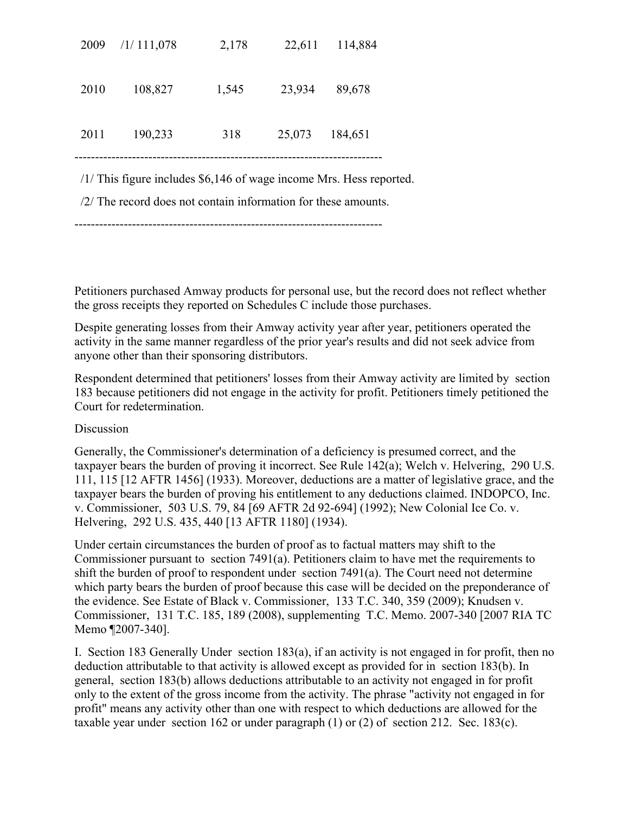| 2009                                                                  | /1/111,078 | 2,178 | 22,611 | 114,884 |  |  |  |
|-----------------------------------------------------------------------|------------|-------|--------|---------|--|--|--|
| 2010                                                                  | 108,827    | 1,545 | 23,934 | 89,678  |  |  |  |
| 2011                                                                  | 190,233    | 318   | 25,073 | 184,651 |  |  |  |
| $/1/$ This figure includes \$6,146 of wage income Mrs. Hess reported. |            |       |        |         |  |  |  |

/2/ The record does not contain information for these amounts.

---------------------------------------------------------------------------

Petitioners purchased Amway products for personal use, but the record does not reflect whether the gross receipts they reported on Schedules C include those purchases.

Despite generating losses from their Amway activity year after year, petitioners operated the activity in the same manner regardless of the prior year's results and did not seek advice from anyone other than their sponsoring distributors.

Respondent determined that petitioners' losses from their Amway activity are limited by section 183 because petitioners did not engage in the activity for profit. Petitioners timely petitioned the Court for redetermination.

## **Discussion**

Generally, the Commissioner's determination of a deficiency is presumed correct, and the taxpayer bears the burden of proving it incorrect. See Rule 142(a); Welch v. Helvering, 290 U.S. 111, 115 [12 AFTR 1456] (1933). Moreover, deductions are a matter of legislative grace, and the taxpayer bears the burden of proving his entitlement to any deductions claimed. INDOPCO, Inc. v. Commissioner, 503 U.S. 79, 84 [69 AFTR 2d 92-694] (1992); New Colonial Ice Co. v. Helvering, 292 U.S. 435, 440 [13 AFTR 1180] (1934).

Under certain circumstances the burden of proof as to factual matters may shift to the Commissioner pursuant to section 7491(a). Petitioners claim to have met the requirements to shift the burden of proof to respondent under section 7491(a). The Court need not determine which party bears the burden of proof because this case will be decided on the preponderance of the evidence. See Estate of Black v. Commissioner, 133 T.C. 340, 359 (2009); Knudsen v. Commissioner, 131 T.C. 185, 189 (2008), supplementing T.C. Memo. 2007-340 [2007 RIA TC Memo ¶2007-340].

I. Section 183 Generally Under section 183(a), if an activity is not engaged in for profit, then no deduction attributable to that activity is allowed except as provided for in section 183(b). In general, section 183(b) allows deductions attributable to an activity not engaged in for profit only to the extent of the gross income from the activity. The phrase "activity not engaged in for profit" means any activity other than one with respect to which deductions are allowed for the taxable year under section 162 or under paragraph (1) or (2) of section 212. Sec. 183(c).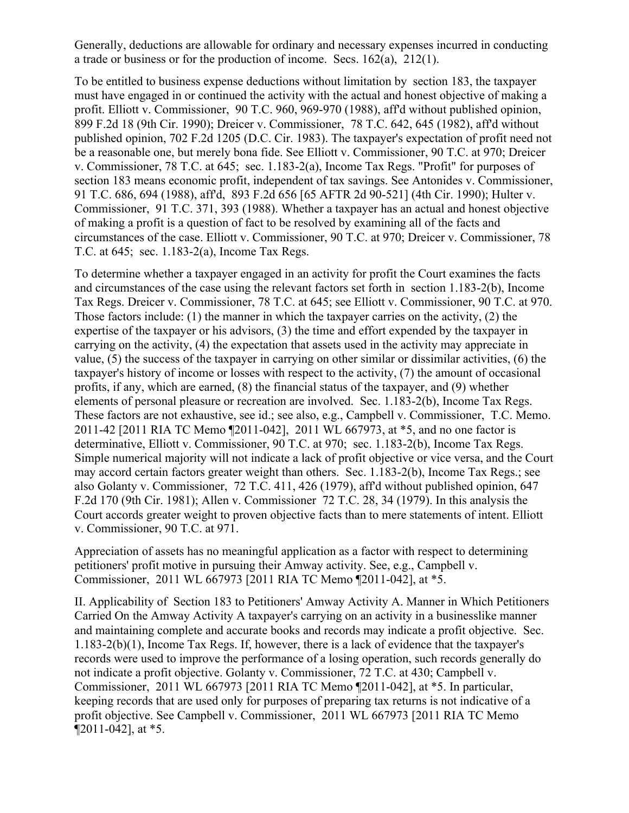Generally, deductions are allowable for ordinary and necessary expenses incurred in conducting a trade or business or for the production of income. Secs. 162(a), 212(1).

To be entitled to business expense deductions without limitation by section 183, the taxpayer must have engaged in or continued the activity with the actual and honest objective of making a profit. Elliott v. Commissioner, 90 T.C. 960, 969-970 (1988), aff'd without published opinion, 899 F.2d 18 (9th Cir. 1990); Dreicer v. Commissioner, 78 T.C. 642, 645 (1982), aff'd without published opinion, 702 F.2d 1205 (D.C. Cir. 1983). The taxpayer's expectation of profit need not be a reasonable one, but merely bona fide. See Elliott v. Commissioner, 90 T.C. at 970; Dreicer v. Commissioner, 78 T.C. at 645; sec. 1.183-2(a), Income Tax Regs. "Profit" for purposes of section 183 means economic profit, independent of tax savings. See Antonides v. Commissioner, 91 T.C. 686, 694 (1988), aff'd, 893 F.2d 656 [65 AFTR 2d 90-521] (4th Cir. 1990); Hulter v. Commissioner, 91 T.C. 371, 393 (1988). Whether a taxpayer has an actual and honest objective of making a profit is a question of fact to be resolved by examining all of the facts and circumstances of the case. Elliott v. Commissioner, 90 T.C. at 970; Dreicer v. Commissioner, 78 T.C. at 645; sec. 1.183-2(a), Income Tax Regs.

To determine whether a taxpayer engaged in an activity for profit the Court examines the facts and circumstances of the case using the relevant factors set forth in section 1.183-2(b), Income Tax Regs. Dreicer v. Commissioner, 78 T.C. at 645; see Elliott v. Commissioner, 90 T.C. at 970. Those factors include: (1) the manner in which the taxpayer carries on the activity, (2) the expertise of the taxpayer or his advisors, (3) the time and effort expended by the taxpayer in carrying on the activity, (4) the expectation that assets used in the activity may appreciate in value, (5) the success of the taxpayer in carrying on other similar or dissimilar activities, (6) the taxpayer's history of income or losses with respect to the activity, (7) the amount of occasional profits, if any, which are earned, (8) the financial status of the taxpayer, and (9) whether elements of personal pleasure or recreation are involved. Sec. 1.183-2(b), Income Tax Regs. These factors are not exhaustive, see id.; see also, e.g., Campbell v. Commissioner, T.C. Memo. 2011-42 [2011 RIA TC Memo ¶2011-042], 2011 WL 667973, at \*5, and no one factor is determinative, Elliott v. Commissioner, 90 T.C. at 970; sec. 1.183-2(b), Income Tax Regs. Simple numerical majority will not indicate a lack of profit objective or vice versa, and the Court may accord certain factors greater weight than others. Sec. 1.183-2(b), Income Tax Regs.; see also Golanty v. Commissioner, 72 T.C. 411, 426 (1979), aff'd without published opinion, 647 F.2d 170 (9th Cir. 1981); Allen v. Commissioner 72 T.C. 28, 34 (1979). In this analysis the Court accords greater weight to proven objective facts than to mere statements of intent. Elliott v. Commissioner, 90 T.C. at 971.

Appreciation of assets has no meaningful application as a factor with respect to determining petitioners' profit motive in pursuing their Amway activity. See, e.g., Campbell v. Commissioner, 2011 WL 667973 [2011 RIA TC Memo ¶2011-042], at \*5.

II. Applicability of Section 183 to Petitioners' Amway Activity A. Manner in Which Petitioners Carried On the Amway Activity A taxpayer's carrying on an activity in a businesslike manner and maintaining complete and accurate books and records may indicate a profit objective. Sec. 1.183-2(b)(1), Income Tax Regs. If, however, there is a lack of evidence that the taxpayer's records were used to improve the performance of a losing operation, such records generally do not indicate a profit objective. Golanty v. Commissioner, 72 T.C. at 430; Campbell v. Commissioner, 2011 WL 667973 [2011 RIA TC Memo ¶2011-042], at \*5. In particular, keeping records that are used only for purposes of preparing tax returns is not indicative of a profit objective. See Campbell v. Commissioner, 2011 WL 667973 [2011 RIA TC Memo  $\P$ 2011-042], at  $*5$ .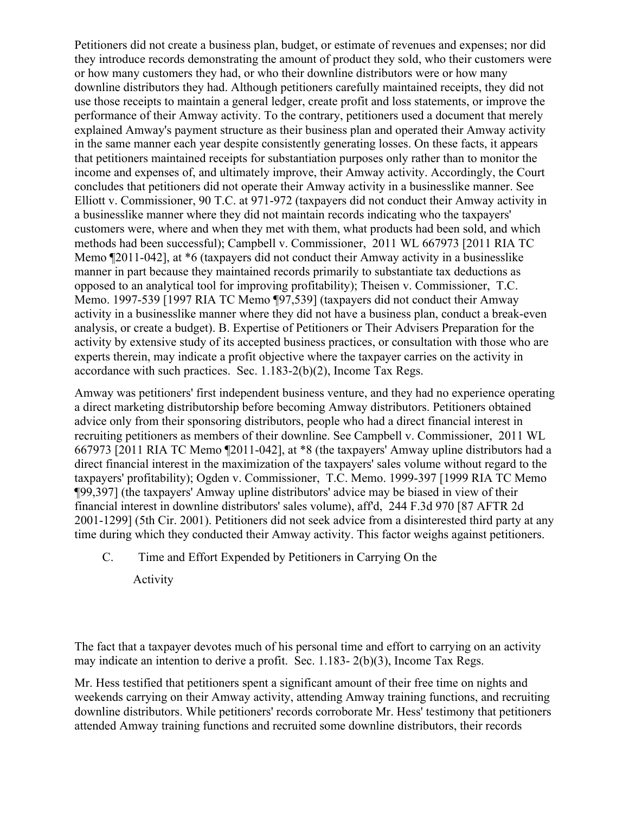Petitioners did not create a business plan, budget, or estimate of revenues and expenses; nor did they introduce records demonstrating the amount of product they sold, who their customers were or how many customers they had, or who their downline distributors were or how many downline distributors they had. Although petitioners carefully maintained receipts, they did not use those receipts to maintain a general ledger, create profit and loss statements, or improve the performance of their Amway activity. To the contrary, petitioners used a document that merely explained Amway's payment structure as their business plan and operated their Amway activity in the same manner each year despite consistently generating losses. On these facts, it appears that petitioners maintained receipts for substantiation purposes only rather than to monitor the income and expenses of, and ultimately improve, their Amway activity. Accordingly, the Court concludes that petitioners did not operate their Amway activity in a businesslike manner. See Elliott v. Commissioner, 90 T.C. at 971-972 (taxpayers did not conduct their Amway activity in a businesslike manner where they did not maintain records indicating who the taxpayers' customers were, where and when they met with them, what products had been sold, and which methods had been successful); Campbell v. Commissioner, 2011 WL 667973 [2011 RIA TC Memo ¶2011-042], at \*6 (taxpayers did not conduct their Amway activity in a businesslike manner in part because they maintained records primarily to substantiate tax deductions as opposed to an analytical tool for improving profitability); Theisen v. Commissioner, T.C. Memo. 1997-539 [1997 RIA TC Memo ¶97,539] (taxpayers did not conduct their Amway activity in a businesslike manner where they did not have a business plan, conduct a break-even analysis, or create a budget). B. Expertise of Petitioners or Their Advisers Preparation for the activity by extensive study of its accepted business practices, or consultation with those who are experts therein, may indicate a profit objective where the taxpayer carries on the activity in accordance with such practices. Sec. 1.183-2(b)(2), Income Tax Regs.

Amway was petitioners' first independent business venture, and they had no experience operating a direct marketing distributorship before becoming Amway distributors. Petitioners obtained advice only from their sponsoring distributors, people who had a direct financial interest in recruiting petitioners as members of their downline. See Campbell v. Commissioner, 2011 WL 667973 [2011 RIA TC Memo ¶2011-042], at \*8 (the taxpayers' Amway upline distributors had a direct financial interest in the maximization of the taxpayers' sales volume without regard to the taxpayers' profitability); Ogden v. Commissioner, T.C. Memo. 1999-397 [1999 RIA TC Memo ¶99,397] (the taxpayers' Amway upline distributors' advice may be biased in view of their financial interest in downline distributors' sales volume), aff'd, 244 F.3d 970 [87 AFTR 2d 2001-1299] (5th Cir. 2001). Petitioners did not seek advice from a disinterested third party at any time during which they conducted their Amway activity. This factor weighs against petitioners.

C. Time and Effort Expended by Petitioners in Carrying On the

Activity

The fact that a taxpayer devotes much of his personal time and effort to carrying on an activity may indicate an intention to derive a profit. Sec. 1.183- 2(b)(3), Income Tax Regs.

Mr. Hess testified that petitioners spent a significant amount of their free time on nights and weekends carrying on their Amway activity, attending Amway training functions, and recruiting downline distributors. While petitioners' records corroborate Mr. Hess' testimony that petitioners attended Amway training functions and recruited some downline distributors, their records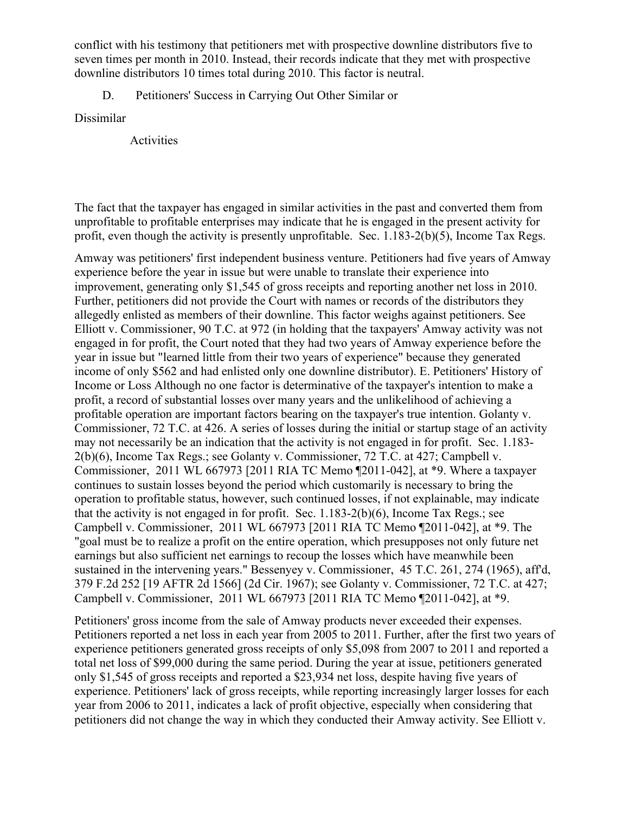conflict with his testimony that petitioners met with prospective downline distributors five to seven times per month in 2010. Instead, their records indicate that they met with prospective downline distributors 10 times total during 2010. This factor is neutral.

D. Petitioners' Success in Carrying Out Other Similar or

Dissimilar

Activities

The fact that the taxpayer has engaged in similar activities in the past and converted them from unprofitable to profitable enterprises may indicate that he is engaged in the present activity for profit, even though the activity is presently unprofitable. Sec. 1.183-2(b)(5), Income Tax Regs.

Amway was petitioners' first independent business venture. Petitioners had five years of Amway experience before the year in issue but were unable to translate their experience into improvement, generating only \$1,545 of gross receipts and reporting another net loss in 2010. Further, petitioners did not provide the Court with names or records of the distributors they allegedly enlisted as members of their downline. This factor weighs against petitioners. See Elliott v. Commissioner, 90 T.C. at 972 (in holding that the taxpayers' Amway activity was not engaged in for profit, the Court noted that they had two years of Amway experience before the year in issue but "learned little from their two years of experience" because they generated income of only \$562 and had enlisted only one downline distributor). E. Petitioners' History of Income or Loss Although no one factor is determinative of the taxpayer's intention to make a profit, a record of substantial losses over many years and the unlikelihood of achieving a profitable operation are important factors bearing on the taxpayer's true intention. Golanty v. Commissioner, 72 T.C. at 426. A series of losses during the initial or startup stage of an activity may not necessarily be an indication that the activity is not engaged in for profit. Sec. 1.183- 2(b)(6), Income Tax Regs.; see Golanty v. Commissioner, 72 T.C. at 427; Campbell v. Commissioner, 2011 WL 667973 [2011 RIA TC Memo ¶2011-042], at \*9. Where a taxpayer continues to sustain losses beyond the period which customarily is necessary to bring the operation to profitable status, however, such continued losses, if not explainable, may indicate that the activity is not engaged in for profit. Sec. 1.183-2(b)(6), Income Tax Regs.; see Campbell v. Commissioner, 2011 WL 667973 [2011 RIA TC Memo ¶2011-042], at \*9. The "goal must be to realize a profit on the entire operation, which presupposes not only future net earnings but also sufficient net earnings to recoup the losses which have meanwhile been sustained in the intervening years." Bessenyey v. Commissioner, 45 T.C. 261, 274 (1965), aff'd, 379 F.2d 252 [19 AFTR 2d 1566] (2d Cir. 1967); see Golanty v. Commissioner, 72 T.C. at 427; Campbell v. Commissioner, 2011 WL 667973 [2011 RIA TC Memo ¶2011-042], at \*9.

Petitioners' gross income from the sale of Amway products never exceeded their expenses. Petitioners reported a net loss in each year from 2005 to 2011. Further, after the first two years of experience petitioners generated gross receipts of only \$5,098 from 2007 to 2011 and reported a total net loss of \$99,000 during the same period. During the year at issue, petitioners generated only \$1,545 of gross receipts and reported a \$23,934 net loss, despite having five years of experience. Petitioners' lack of gross receipts, while reporting increasingly larger losses for each year from 2006 to 2011, indicates a lack of profit objective, especially when considering that petitioners did not change the way in which they conducted their Amway activity. See Elliott v.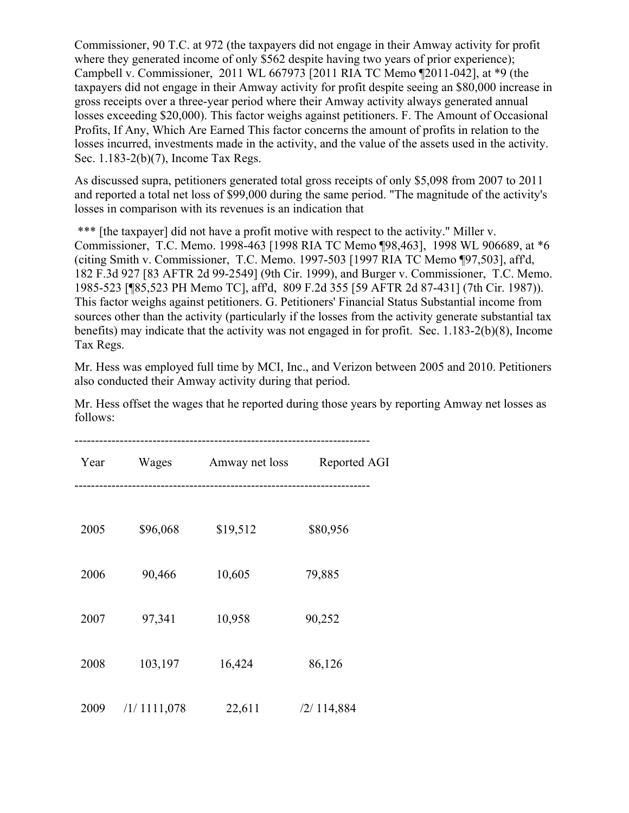Commissioner, 90 T.C. at 972 (the taxpayers did not engage in their Amway activity for profit where they generated income of only \$562 despite having two years of prior experience); Campbell v. Commissioner, 2011 WL 667973 [2011 RIA TC Memo ¶2011-042], at \*9 (the taxpayers did not engage in their Amway activity for profit despite seeing an \$80,000 increase in gross receipts over a three-year period where their Amway activity always generated annual losses exceeding \$20,000). This factor weighs against petitioners. F. The Amount of Occasional Profits, If Any, Which Are Earned This factor concerns the amount of profits in relation to the losses incurred, investments made in the activity, and the value of the assets used in the activity. Sec. 1.183-2(b)(7), Income Tax Regs.

As discussed supra, petitioners generated total gross receipts of only \$5,098 from 2007 to 2011 and reported a total net loss of \$99,000 during the same period. "The magnitude of the activity's losses in comparison with its revenues is an indication that

\*\*\* [the taxpayer] did not have a profit motive with respect to the activity." Miller v. Commissioner, T.C. Memo. 1998-463 [1998 RIA TC Memo ¶98,463], 1998 WL 906689, at \*6 (citing Smith v. Commissioner, T.C. Memo. 1997-503 [1997 RIA TC Memo ¶97,503], aff'd, 182 F.3d 927 [83 AFTR 2d 99-2549] (9th Cir. 1999), and Burger v. Commissioner, T.C. Memo. 1985-523 [¶85,523 PH Memo TC], aff'd, 809 F.2d 355 [59 AFTR 2d 87-431] (7th Cir. 1987)). This factor weighs against petitioners. G. Petitioners' Financial Status Substantial income from sources other than the activity (particularly if the losses from the activity generate substantial tax benefits) may indicate that the activity was not engaged in for profit. Sec. 1.183-2(b)(8), Income Tax Regs.

Mr. Hess was employed full time by MCI, Inc., and Verizon between 2005 and 2010. Petitioners also conducted their Amway activity during that period.

Mr. Hess offset the wages that he reported during those years by reporting Amway net losses as follows:

| Year | Wages        | Amway net loss | Reported AGI |
|------|--------------|----------------|--------------|
|      |              |                |              |
| 2005 | \$96,068     | \$19,512       | \$80,956     |
| 2006 | 90,466       | 10,605         | 79,885       |
| 2007 | 97,341       | 10,958         | 90,252       |
| 2008 | 103,197      | 16,424         | 86,126       |
| 2009 | /1/11111,078 | 22,611         | /2/114,884   |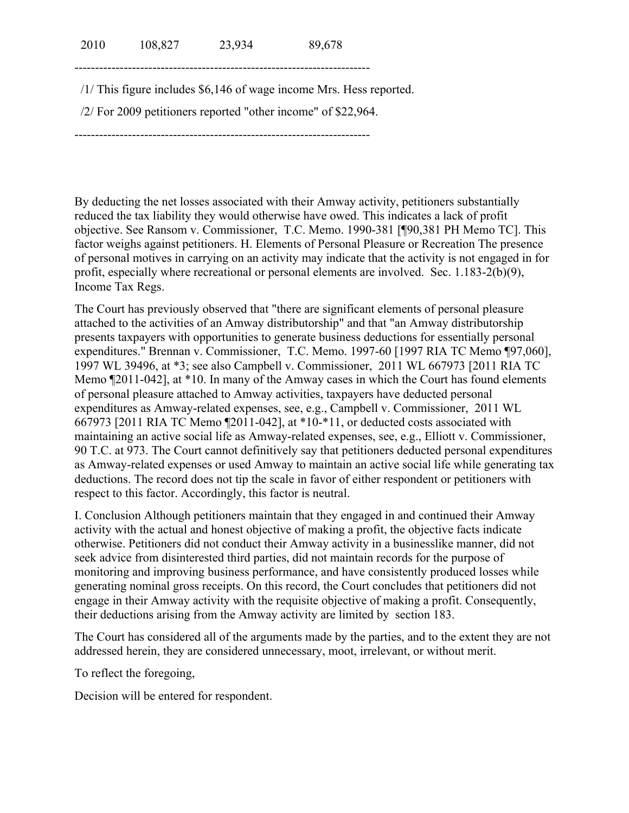2010 108,827 23,934 89,678

------------------------------------------------------------------------

/1/ This figure includes \$6,146 of wage income Mrs. Hess reported.

/2/ For 2009 petitioners reported "other income" of \$22,964.

------------------------------------------------------------------------

By deducting the net losses associated with their Amway activity, petitioners substantially reduced the tax liability they would otherwise have owed. This indicates a lack of profit objective. See Ransom v. Commissioner, T.C. Memo. 1990-381 [¶90,381 PH Memo TC]. This factor weighs against petitioners. H. Elements of Personal Pleasure or Recreation The presence of personal motives in carrying on an activity may indicate that the activity is not engaged in for profit, especially where recreational or personal elements are involved. Sec. 1.183-2(b)(9), Income Tax Regs.

The Court has previously observed that "there are significant elements of personal pleasure attached to the activities of an Amway distributorship" and that "an Amway distributorship presents taxpayers with opportunities to generate business deductions for essentially personal expenditures." Brennan v. Commissioner, T.C. Memo. 1997-60 [1997 RIA TC Memo ¶97,060], 1997 WL 39496, at \*3; see also Campbell v. Commissioner, 2011 WL 667973 [2011 RIA TC Memo ¶2011-042], at \*10. In many of the Amway cases in which the Court has found elements of personal pleasure attached to Amway activities, taxpayers have deducted personal expenditures as Amway-related expenses, see, e.g., Campbell v. Commissioner, 2011 WL 667973 [2011 RIA TC Memo ¶2011-042], at \*10-\*11, or deducted costs associated with maintaining an active social life as Amway-related expenses, see, e.g., Elliott v. Commissioner, 90 T.C. at 973. The Court cannot definitively say that petitioners deducted personal expenditures as Amway-related expenses or used Amway to maintain an active social life while generating tax deductions. The record does not tip the scale in favor of either respondent or petitioners with respect to this factor. Accordingly, this factor is neutral.

I. Conclusion Although petitioners maintain that they engaged in and continued their Amway activity with the actual and honest objective of making a profit, the objective facts indicate otherwise. Petitioners did not conduct their Amway activity in a businesslike manner, did not seek advice from disinterested third parties, did not maintain records for the purpose of monitoring and improving business performance, and have consistently produced losses while generating nominal gross receipts. On this record, the Court concludes that petitioners did not engage in their Amway activity with the requisite objective of making a profit. Consequently, their deductions arising from the Amway activity are limited by section 183.

The Court has considered all of the arguments made by the parties, and to the extent they are not addressed herein, they are considered unnecessary, moot, irrelevant, or without merit.

To reflect the foregoing,

Decision will be entered for respondent.